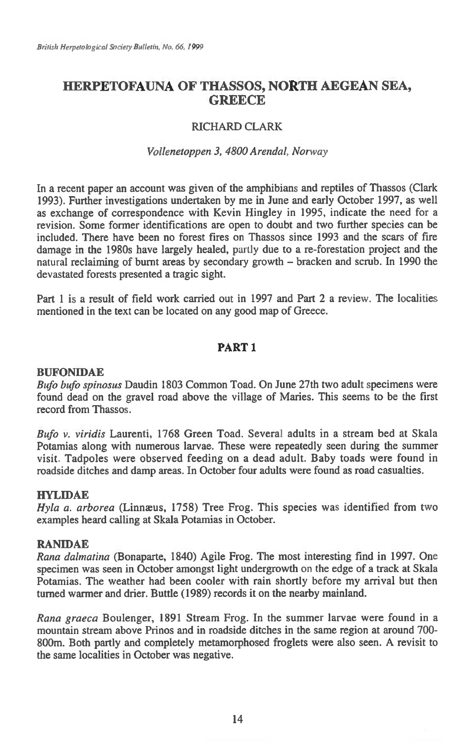# **HERPETOFAUNA OF THASSOS, NORTH AEGEAN SEA, GREECE**

## RICHARD CLARK

## *Vollenetoppen 3, 4800 Arendal, Norway*

In a recent paper an account was given of the amphibians and reptiles of Thassos (Clark 1993). Further investigations undertaken by me in June and early October 1997, as well as exchange of correspondence with Kevin Hingley in 1995, indicate the need for a revision. Some former identifications are open to doubt and two further species can be included. There have been no forest fires on Thassos since 1993 and the scars of fire damage in the 1980s have largely healed, partly due to a re-forestation project and the natural reclaiming of burnt areas by secondary growth — bracken and scrub. In 1990 the devastated forests presented a tragic sight.

Part 1 is a result of field work carried out in 1997 and Part 2 a review. The localities mentioned in the text can be located on any good map of Greece.

## **PART 1**

## **BUFONIDAE**

*Bufo bufo spinosus* Daudin 1803 Common Toad. On June 27th two adult specimens were found dead on the gravel road above the village of Maries. This seems to be the first record from Thassos.

*Bufo v. viridis* Laurenti, 1768 Green Toad. Several adults in a stream bed at Skala Potamias along with numerous larvae. These were repeatedly seen during the summer visit. Tadpoles were observed feeding on a dead adult. Baby toads were found in roadside ditches and damp areas. In October four adults were found as road casualties.

## **HYLIDAE**

*Hyla a. arborea* (Linnæus, 1758) Tree Frog. This species was identified from two examples heard calling at Skala Potamias in October.

## **RANIDAE**

*Rana dalmatina* (Bonaparte, 1840) Agile Frog. The most interesting find in 1997. One specimen was seen in October amongst light undergrowth on the edge of a track at Skala Potamias. The weather had been cooler with rain shortly before my arrival but then turned warmer and drier. Buttle (1989) records it on the nearby mainland.

*Rana graeca* Boulenger, 1891 Stream Frog. In the summer larvae were found in a mountain stream above Prinos and in roadside ditches in the same region at around 700- 800m. Both partly and completely metamorphosed froglets were also seen. A revisit to the same localities in October was negative.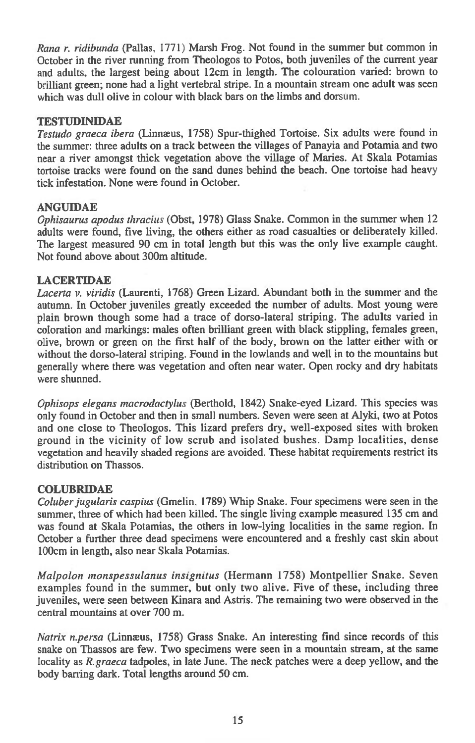*Rana r. ridibunda* (Pallas, 1771) Marsh Frog. Not found in the summer but common in October in the river running from Theologos to Potos, both juveniles of the current year and adults, the largest being about 12cm in length. The colouration varied: brown to brilliant green; none had a light vertebral stripe. In a mountain stream one adult was seen which was dull olive in colour with black bars on the limbs and dorsum.

## **TESTUDINIDAE**

*Testudo graeca ibera* (Linnaeus, 1758) Spur-thighed Tortoise. Six adults were found in the summer: three adults on a track between the villages of Panayia and Potamia and two near a river amongst thick vegetation above the village of Maries. At Skala Potamias tortoise tracks were found on the sand dunes behind the beach. One tortoise had heavy tick infestation. None were found in October.

## **ANGU1DAE**

*Ophisaurus apodus thracius* (Obst, 1978) Glass Snake. Common in the summer when 12 adults were found, five living, the others either as road casualties or deliberately killed. The largest measured 90 cm in total length but this was the only live example caught. Not found above about 300m altitude.

## **LACERTIDAE**

*Lacerta v. viridis* (Laurenti, 1768) Green Lizard. Abundant both in the summer and the autumn. In October juveniles greatly exceeded the number of adults. Most young were plain brown though some had a trace of dorso-lateral striping. The adults varied in coloration and markings: males often brilliant green with black stippling, females green, olive, brown or green on the first half of the body, brown on the latter either with or without the dorso-lateral striping. Found in the lowlands and well in to the mountains but generally where there was vegetation and often near water. Open rocky and dry habitats were shunned.

*Ophisops elegans macrodactylus* (Berthold, 1842) Snake-eyed Lizard. This species was only found in October and then in small numbers. Seven were seen at Alyki, two at Potos and one close to Theologos. This lizard prefers dry, well-exposed sites with broken ground in the vicinity of low scrub and isolated bushes. Damp localities, dense vegetation and heavily shaded regions are avoided. These habitat requirements restrict its distribution on Thassos.

## **COLUBRIDAE**

*Coluber jugularis caspius* (Gmelin, 1789) Whip Snake. Four specimens were seen in the summer, three of which had been killed. The single living example measured 135 cm and was found at Skala Potamias, the others in low-lying localities in the same region. In October a further three dead specimens were encountered and a freshly cast skin about 100cm in length, also near Skala Potamias.

*Malpolon monspessulanus insignitus* (Hermann 1758) Montpellier Snake. Seven examples found in the summer, but only two alive. Five of these, including three juveniles, were seen between Kinara and Astris. The remaining two were observed in the central mountains at over 700 m.

*Natrix n.persa* (Linnæus, 1758) Grass Snake. An interesting find since records of this snake on Thassos are few. Two specimens were seen in a mountain stream, at the same locality as *R.graeca* tadpoles, in late June. The neck patches were a deep yellow, and the body barring dark. Total lengths around 50 cm.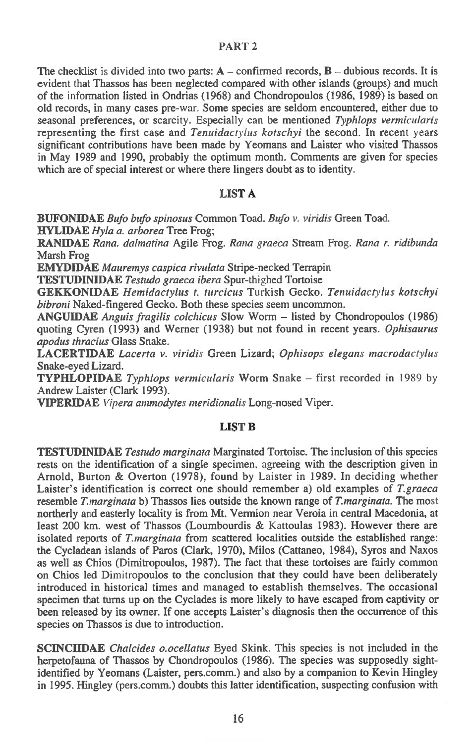#### PART 2

The checklist is divided into two parts:  $A$  – confirmed records,  $B$  – dubious records. It is evident that Thassos has been neglected compared with other islands (groups) and much of the information listed in Ondrias (1968) and Chondropoulos (1986, 1989) is based on old records, in many cases pre-war. Some species are seldom encountered, either due to seasonal preferences, or scarcity. Especially can be mentioned *Typhlops vermicularis*  representing the first case and *Tenuidactylus kotschyi* the second. In recent years significant contributions have been made by Yeomans and Laister who visited Thassos in May 1989 and 1990, probably the optimum month. Comments are given for species which are of special interest or where there lingers doubt as to identity.

#### **LIST A**

**BUFONIDAE** *Bufo bufo spinosus* Common Toad. *Bufo v. viridis* Green Toad. **HYLIDAE** *Hyla a. arborea* Tree Frog;

**RANIDAE** *Rana. dalmatina* Agile Frog. *Rana graeca* Stream Frog. *Rana r. ridibunda*  Marsh Frog

**EMYDIDAE** *Mauremys caspica rivulata* Stripe-necked Terrapin

**TESTUDINIDAE** *Testudo graeca ibera* Spur-thighed Tortoise

**GEKKONIDAE** *Hemidactylus t. turcicus* Turkish Gecko. *Tenuidactylus kotschyi bibroni* Naked-fingered Gecko. Both these species seem uncommon.

**ANGUIDAE** *Anguis fragilis colchicus* Slow Worm — listed by Chondropoulos (1986) quoting Cyren (1993) and Werner (1938) but not found in recent years. *Ophisaurus apodus thracius* Glass Snake.

**LACERTIDAE** *Lacerta v. viridis* Green Lizard; *Ophisops elegans macrodactylus*  Snake-eyed Lizard.

**TYPHLOPIDAE** *Typhlops vermicularis* Worm Snake — first recorded *in* 1989 by Andrew Laister (Clark 1993).

**VIPERMAE** *Vipera amnzodytes meridionalis* Long-nosed Viper.

#### **LIST B**

**TESTUDINIDAE** Testudo marginata Marginated Tortoise. The inclusion of this species rests on the identification of a single specimen, agreeing with the description given in Arnold, Burton & Overton (1978), found by Laister in 1989. In deciding whether Laister's identification is correct one should remember a) old examples of *T.graeca*  resemble *T.marginata* b) Thassos lies outside the known range of *T.marginata.* The most northerly and easterly locality is from Mt. Vermion near Veroia in central Macedonia, at least 200 km. west of Thassos (Loumbourdis & Kattoulas 1983). However there are isolated reports of *T.marginata* from scattered localities outside the established range: the Cycladean islands of Paros (Clark, 1970), Milos (Cattaneo, 1984), Syros and Naxos as well as Chios (Dimitropoulos, 1987). The fact that these tortoises are fairly common on Chios led Dimitropoulos to the conclusion that they could have been deliberately introduced in historical times and managed to establish themselves. The occasional specimen that turns up on the Cyclades is more likely to have escaped from captivity or been released by its owner. If one accepts Laister's diagnosis then the occurrence of this species on Thassos is due to introduction.

**SCINCIIDAE** *Chalcides o.ocellatus* Eyed Skink. This species is not included in the herpetofauna of Thassos by Chondropoulos (1986). The species was supposedly sightidentified by Yeomans (Laister, pers.comm.) and also by a companion to Kevin Hingley in 1995. Hingley (pers.comm.) doubts this latter identification, suspecting confusion with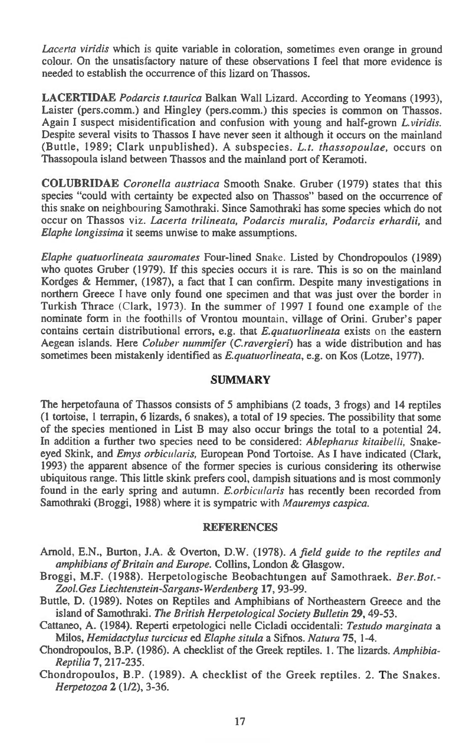*Lacerta viridis* which is quite variable in coloration, sometimes even orange in ground colour. On the unsatisfactory nature of these observations I feel that more evidence is needed to establish the occurrence of this lizard on Thassos.

**LACERTIDAE** *Podarcis t.taurica* Balkan Wall Lizard. According to Yeomans (1993), Laister (pers.comm.) and Hingley (pers.comm.) this species is common on Thassos. Again I suspect misidentification and confusion with young and half-grown *L.viridis.*  Despite several visits to Thassos I have never seen it although it occurs on the mainland (Buttle, 1989; Clark unpublished). A subspecies. *L.t. thassopoulae,* occurs on Thassopoula island between Thassos and the mainland port of Keramoti.

**COLUBRIDAE** *Coronella austriaca* Smooth Snake. Gruber (1979) states that this species "could with certainty be expected also on Thassos" based on the occurrence of this snake on neighbouring Samothraki. Since Samothraki has some species which do not occur on Thassos viz. *Lacerta trilineata, Podarcis muralis, Podarcis erhardii*, and *Elaphe longissima* it seems unwise to make assumptions.

*Elaphe quatuorlineata sauromates* Four-lined Snake. Listed by Chondropoulos (1989) who quotes Gruber (1979). If this species occurs it is rare. This is so on the mainland Kordges & Hemmer, (1987), a fact that I can confirm. Despite many investigations in northern Greece I have only found one specimen and that was just over the border in Turkish Thrace (Clark, 1973). In the summer of 1997 I found one example of the nominate form in the foothills of Vrontou mountain, village of Orini. Gruber's paper contains certain distributional errors, e.g. that *E.quatuorlineata* exists on the eastern Aegean islands. Here *Coluber nummifer (C.ravergieri)* has a wide distribution and has sometimes been mistakenly identified as *E.quatuorlineata,* e.g. on Kos (Lotze, 1977).

## **SUMMARY**

The herpetofauna of Thassos consists of 5 amphibians (2 toads, 3 frogs) and 14 reptiles (1 tortoise, I terrapin, 6 lizards, 6 snakes), a total of 19 species. The possibility that some of the species mentioned in List B may also occur brings the total to a potential 24. In addition a further two species need to be considered: *Ablepharus kitaibelli,* Snakeeyed Skink, and *Emys orbicularis,* European Pond Tortoise. As I have indicated (Clark, 1993) the apparent absence of the former species is curious considering its otherwise ubiquitous range. This little skink prefers cool, dampish situations and is most commonly found in the early spring and autumn. *E.orbicularis* has recently been recorded from Samothraki (Broggi, 1988) where it is sympatric with *Mauremys caspica.* 

## **REFERENCES**

- Arnold, E.N., Burton, J.A. & Overton, D.W. (1978). A *field guide to the reptiles and amphibians of Britain and Europe.* Collins, London & Glasgow.
- Broggi, M.F. (1988). Herpetologische Beobachtungen auf Samothraek. *Ber.Bot.- Zool.Ges Liechtenstein-Sargans-Werdenberg* **17,** 93-99.
- Buttle, D. (1989). Notes on Reptiles and Amphibians of Northeastern Greece and the island of Samothraki. *The British Herpetological Society Bulletin* **29,** 49-53.
- Cattaneo, A. (1984). Reperti erpetologici nelle Cicladi occidentali: *Testudo marginata a*  Milos, *Hemidactylus turcicus* ed *Elaphe situla* a Sifnos. *Natura* **75,** 1-4.

Chondropoulos, B.P. (1986). A checklist of the Greek reptiles. 1. The lizards. *Amphibia-Reptilia* **7,** 217-235.

Chondropoulos, B.P. (1989). A checklist of the Greek reptiles. 2. The Snakes. *Herpetozoa* **2** (1/2), 3-36.